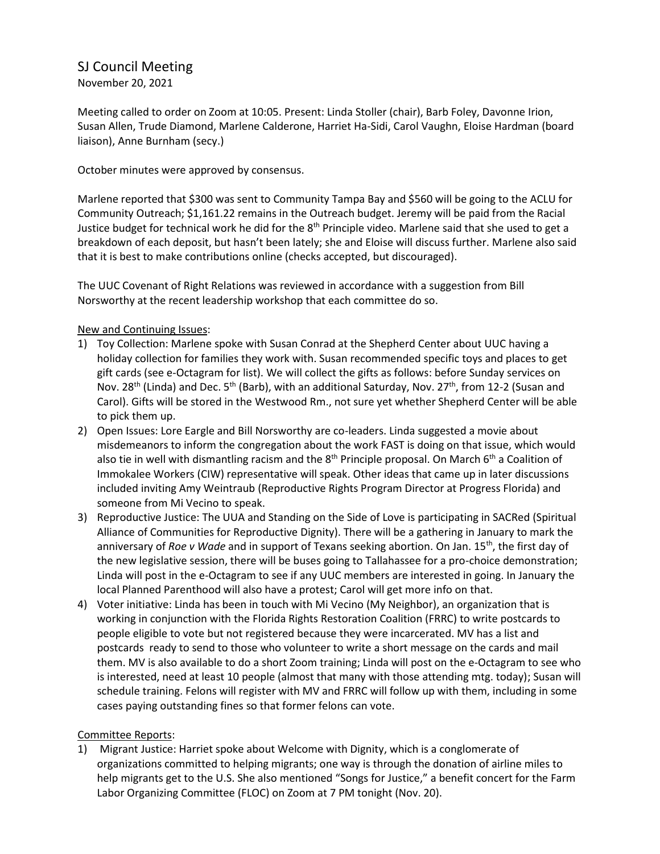## SJ Council Meeting

November 20, 2021

Meeting called to order on Zoom at 10:05. Present: Linda Stoller (chair), Barb Foley, Davonne Irion, Susan Allen, Trude Diamond, Marlene Calderone, Harriet Ha-Sidi, Carol Vaughn, Eloise Hardman (board liaison), Anne Burnham (secy.)

October minutes were approved by consensus.

Marlene reported that \$300 was sent to Community Tampa Bay and \$560 will be going to the ACLU for Community Outreach; \$1,161.22 remains in the Outreach budget. Jeremy will be paid from the Racial Justice budget for technical work he did for the 8<sup>th</sup> Principle video. Marlene said that she used to get a breakdown of each deposit, but hasn't been lately; she and Eloise will discuss further. Marlene also said that it is best to make contributions online (checks accepted, but discouraged).

The UUC Covenant of Right Relations was reviewed in accordance with a suggestion from Bill Norsworthy at the recent leadership workshop that each committee do so.

## New and Continuing Issues:

- 1) Toy Collection: Marlene spoke with Susan Conrad at the Shepherd Center about UUC having a holiday collection for families they work with. Susan recommended specific toys and places to get gift cards (see e-Octagram for list). We will collect the gifts as follows: before Sunday services on Nov. 28<sup>th</sup> (Linda) and Dec. 5<sup>th</sup> (Barb), with an additional Saturday, Nov. 27<sup>th</sup>, from 12-2 (Susan and Carol). Gifts will be stored in the Westwood Rm., not sure yet whether Shepherd Center will be able to pick them up.
- 2) Open Issues: Lore Eargle and Bill Norsworthy are co-leaders. Linda suggested a movie about misdemeanors to inform the congregation about the work FAST is doing on that issue, which would also tie in well with dismantling racism and the 8<sup>th</sup> Principle proposal. On March 6<sup>th</sup> a Coalition of Immokalee Workers (CIW) representative will speak. Other ideas that came up in later discussions included inviting Amy Weintraub (Reproductive Rights Program Director at Progress Florida) and someone from Mi Vecino to speak.
- 3) Reproductive Justice: The UUA and Standing on the Side of Love is participating in SACRed (Spiritual Alliance of Communities for Reproductive Dignity). There will be a gathering in January to mark the anniversary of *Roe v Wade* and in support of Texans seeking abortion. On Jan. 15th, the first day of the new legislative session, there will be buses going to Tallahassee for a pro-choice demonstration; Linda will post in the e-Octagram to see if any UUC members are interested in going. In January the local Planned Parenthood will also have a protest; Carol will get more info on that.
- 4) Voter initiative: Linda has been in touch with Mi Vecino (My Neighbor), an organization that is working in conjunction with the Florida Rights Restoration Coalition (FRRC) to write postcards to people eligible to vote but not registered because they were incarcerated. MV has a list and postcards ready to send to those who volunteer to write a short message on the cards and mail them. MV is also available to do a short Zoom training; Linda will post on the e-Octagram to see who is interested, need at least 10 people (almost that many with those attending mtg. today); Susan will schedule training. Felons will register with MV and FRRC will follow up with them, including in some cases paying outstanding fines so that former felons can vote.

## Committee Reports:

1) Migrant Justice: Harriet spoke about Welcome with Dignity, which is a conglomerate of organizations committed to helping migrants; one way is through the donation of airline miles to help migrants get to the U.S. She also mentioned "Songs for Justice," a benefit concert for the Farm Labor Organizing Committee (FLOC) on Zoom at 7 PM tonight (Nov. 20).